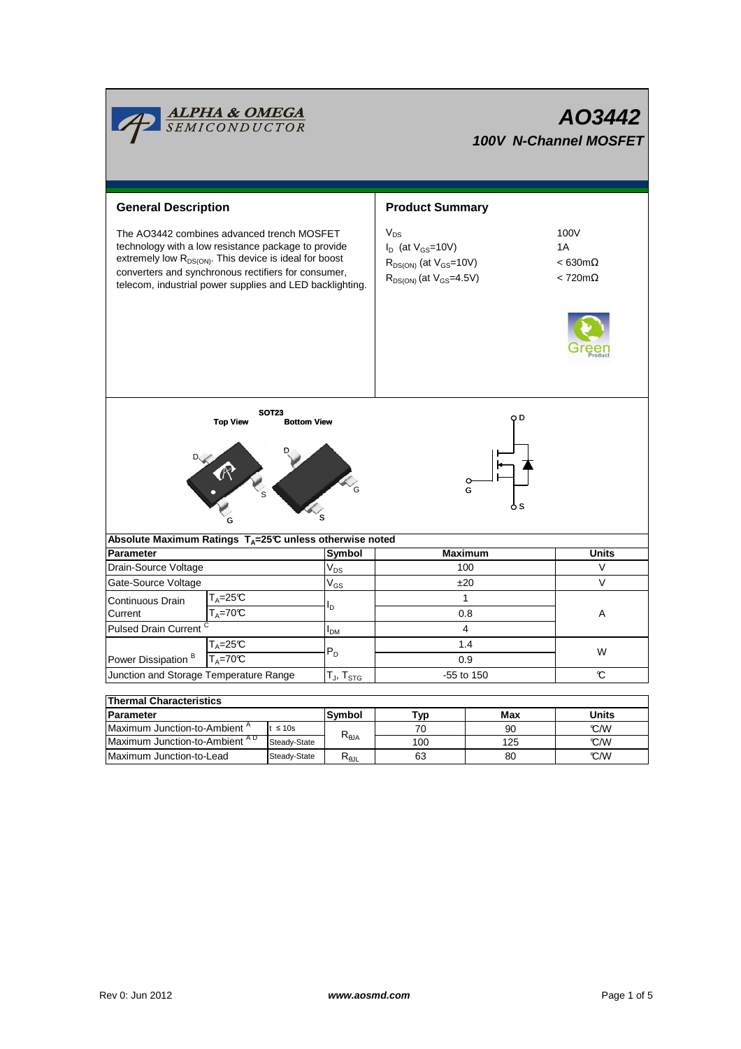|                                                                                                                                                                                                                                                                                            | <b>ALPHA &amp; OMEGA</b><br>SEMICONDUCTOR      |                                  |                            | AO3442<br><b>100V N-Channel MOSFET</b>                                                                      |                                                                |        |  |  |  |
|--------------------------------------------------------------------------------------------------------------------------------------------------------------------------------------------------------------------------------------------------------------------------------------------|------------------------------------------------|----------------------------------|----------------------------|-------------------------------------------------------------------------------------------------------------|----------------------------------------------------------------|--------|--|--|--|
| <b>General Description</b>                                                                                                                                                                                                                                                                 |                                                |                                  |                            | <b>Product Summary</b>                                                                                      |                                                                |        |  |  |  |
| The AO3442 combines advanced trench MOSFET<br>technology with a low resistance package to provide<br>extremely low R <sub>DS(ON)</sub> . This device is ideal for boost<br>converters and synchronous rectifiers for consumer,<br>telecom, industrial power supplies and LED backlighting. |                                                |                                  |                            | $V_{DS}$<br>$I_D$ (at $V_{GS}$ =10V)<br>$R_{DS(ON)}$ (at $V_{GS}$ =10V)<br>$R_{DS(ON)}$ (at $V_{GS}$ =4.5V) | 100V<br>1A<br>$< 630 \text{m}\Omega$<br>$< 720 \text{m}\Omega$ |        |  |  |  |
| <b>SOT23</b><br>O D<br><b>Top View</b><br><b>Bottom View</b><br>$\heartsuit_{\mathsf{G}}$<br>G<br>o s                                                                                                                                                                                      |                                                |                                  |                            |                                                                                                             |                                                                |        |  |  |  |
| Absolute Maximum Ratings T <sub>A</sub> =25℃ unless otherwise noted                                                                                                                                                                                                                        |                                                |                                  |                            |                                                                                                             |                                                                |        |  |  |  |
| <b>Parameter</b>                                                                                                                                                                                                                                                                           |                                                |                                  | Symbol                     | <b>Maximum</b>                                                                                              |                                                                | Units  |  |  |  |
| Drain-Source Voltage                                                                                                                                                                                                                                                                       |                                                |                                  | $\mathsf{V}_{\mathsf{DS}}$ | 100                                                                                                         |                                                                | V      |  |  |  |
| Gate-Source Voltage                                                                                                                                                                                                                                                                        |                                                |                                  | $V_{GS}$                   | ±20                                                                                                         |                                                                | $\vee$ |  |  |  |
| T <sub>A</sub> =25℃<br>Continuous Drain                                                                                                                                                                                                                                                    |                                                |                                  | $\mathbf{1}$               |                                                                                                             |                                                                |        |  |  |  |
| Current                                                                                                                                                                                                                                                                                    | $T_A = 70C$                                    |                                  | םי                         | 0.8                                                                                                         |                                                                | A      |  |  |  |
| <b>Pulsed Drain Current</b>                                                                                                                                                                                                                                                                |                                                |                                  | I <sub>DM</sub>            | 4                                                                                                           |                                                                |        |  |  |  |
| $T_A = 25C$                                                                                                                                                                                                                                                                                |                                                |                                  |                            | 1.4                                                                                                         |                                                                |        |  |  |  |
| Power Dissipation <sup>B</sup><br>$T_A = 70C$                                                                                                                                                                                                                                              |                                                |                                  | $P_D$                      | 0.9                                                                                                         | W                                                              |        |  |  |  |
| Junction and Storage Temperature Range                                                                                                                                                                                                                                                     |                                                | $T_J$ , $T_{STG}$                | -55 to 150                 | C                                                                                                           |                                                                |        |  |  |  |
|                                                                                                                                                                                                                                                                                            |                                                |                                  |                            |                                                                                                             |                                                                |        |  |  |  |
| <b>Thermal Characteristics</b>                                                                                                                                                                                                                                                             |                                                |                                  |                            |                                                                                                             |                                                                |        |  |  |  |
| <b>Parameter</b>                                                                                                                                                                                                                                                                           |                                                | Symbol                           | Typ                        | Max                                                                                                         | <b>Units</b>                                                   |        |  |  |  |
| Maximum Junction-to-Ambient <sup>A</sup><br>$t \leq 10s$                                                                                                                                                                                                                                   |                                                | $\mathsf{R}_{\theta\mathsf{JA}}$ | 70                         | 90                                                                                                          | C/W                                                            |        |  |  |  |
|                                                                                                                                                                                                                                                                                            | Maximum Junction-to-Ambient AD<br>Steady-State |                                  |                            | 100                                                                                                         | 125                                                            | °C/W   |  |  |  |
| Maximum Junction-to-Lead<br>Steady-State                                                                                                                                                                                                                                                   |                                                |                                  | $R_{\theta JL}$            | 63                                                                                                          | 80                                                             | C/W    |  |  |  |

 $\overline{\phantom{0}}$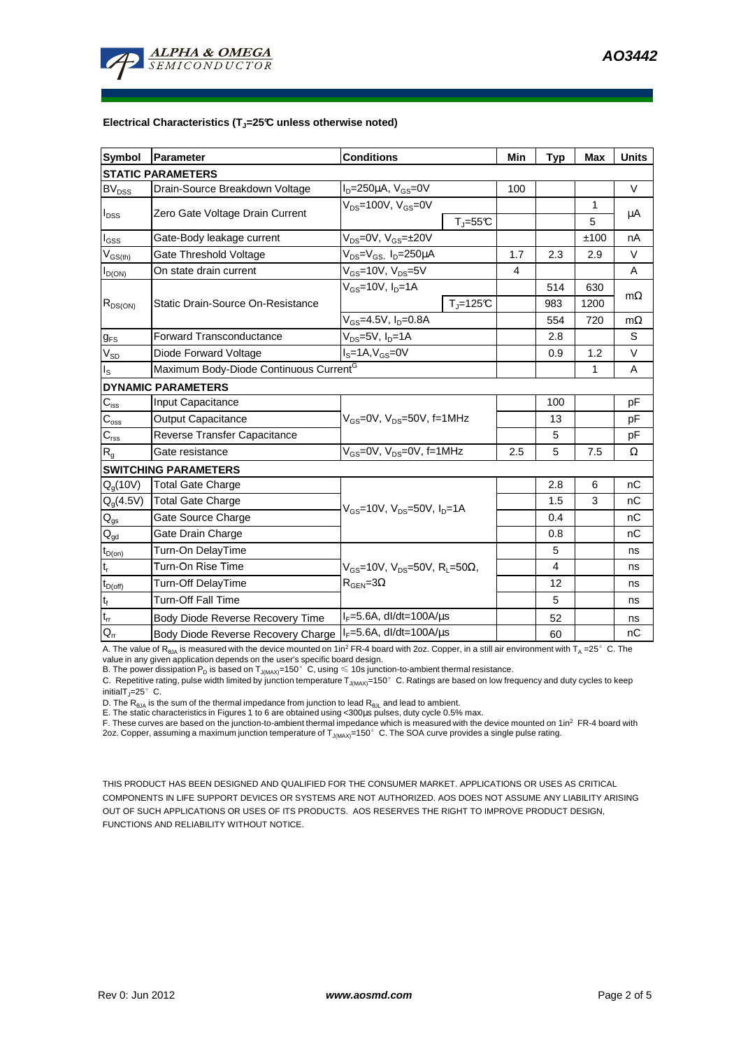

## **Electrical Characteristics (TJ=25°C unless otherwise noted)**

| <b>Symbol</b>               | Parameter                                                    | <b>Conditions</b>                                                                         |                          | Min | <b>Typ</b> | Max    | <b>Units</b> |  |  |  |  |  |
|-----------------------------|--------------------------------------------------------------|-------------------------------------------------------------------------------------------|--------------------------|-----|------------|--------|--------------|--|--|--|--|--|
| <b>STATIC PARAMETERS</b>    |                                                              |                                                                                           |                          |     |            |        |              |  |  |  |  |  |
| <b>BV<sub>DSS</sub></b>     | Drain-Source Breakdown Voltage                               | $I_D = 250 \mu A$ , $V_{GS} = 0V$                                                         |                          | 100 |            |        | $\vee$       |  |  |  |  |  |
| $I_{DSS}$                   | Zero Gate Voltage Drain Current                              | $V_{DS}$ =100V, $V_{GS}$ =0V                                                              |                          |     |            | 1      |              |  |  |  |  |  |
|                             |                                                              |                                                                                           | $T_{J} = 55C$            |     |            | 5      | μA           |  |  |  |  |  |
| l <sub>GSS</sub>            | Gate-Body leakage current                                    | $V_{DS} = 0V$ , $V_{GS} = \pm 20V$                                                        |                          |     |            | ±100   | nA           |  |  |  |  |  |
| $V_{GS(th)}$                | Gate Threshold Voltage                                       | $V_{DS} = V_{GS}$ , $I_D = 250 \mu A$                                                     | 1.7                      | 2.3 | 2.9        | $\vee$ |              |  |  |  |  |  |
| $I_{D(ON)}$                 | On state drain current                                       | $V_{GS}$ =10V, $V_{DS}$ =5V                                                               |                          | 4   |            |        | A            |  |  |  |  |  |
| $R_{DS(ON)}$                |                                                              | $V_{GS}$ =10V, $I_D$ =1A                                                                  |                          |     | 514        | 630    |              |  |  |  |  |  |
|                             | Static Drain-Source On-Resistance                            |                                                                                           | $T_{\parallel} = 125$ °C |     | 983        | 1200   | $m\Omega$    |  |  |  |  |  |
|                             |                                                              | $V_{GS} = 4.5V, I_D = 0.8A$                                                               |                          |     | 554        | 720    | $m\Omega$    |  |  |  |  |  |
| $g_{FS}$                    | $V_{DS}$ =5V, $I_{D}$ =1A<br><b>Forward Transconductance</b> |                                                                                           |                          |     | 2.8        |        | S            |  |  |  |  |  |
| $V_{SD}$                    | Diode Forward Voltage                                        | $I_S = 1A$ , $V_{GS} = 0V$                                                                |                          |     | 0.9        | 1.2    | V            |  |  |  |  |  |
| $I_{\tt S}$                 | Maximum Body-Diode Continuous Current <sup>G</sup>           |                                                                                           |                          | 1   | A          |        |              |  |  |  |  |  |
|                             | <b>DYNAMIC PARAMETERS</b>                                    |                                                                                           |                          |     |            |        |              |  |  |  |  |  |
| $C_{iss}$                   | Input Capacitance                                            |                                                                                           |                          | 100 |            | pF     |              |  |  |  |  |  |
| $C_{\rm oss}$               | <b>Output Capacitance</b>                                    | $V_{GS}$ =0V, $V_{DS}$ =50V, f=1MHz                                                       |                          |     | 13         |        | pF           |  |  |  |  |  |
| $C_{\rm rss}$               | Reverse Transfer Capacitance                                 |                                                                                           |                          |     | 5          |        | pF           |  |  |  |  |  |
| $R_{\alpha}$                | Gate resistance                                              | $V_{GS}$ =0V, $V_{DS}$ =0V, f=1MHz                                                        |                          | 2.5 | 5          | 7.5    | Ω            |  |  |  |  |  |
|                             | <b>SWITCHING PARAMETERS</b>                                  |                                                                                           |                          |     |            |        |              |  |  |  |  |  |
| $Q_g(10V)$                  | <b>Total Gate Charge</b>                                     | $V_{\text{GS}}$ =10V, $V_{\text{DS}}$ =50V, $I_{\text{D}}$ =1A                            |                          |     | 2.8        | 6      | nC           |  |  |  |  |  |
| $Q_q(4.5V)$                 | <b>Total Gate Charge</b>                                     |                                                                                           |                          |     | 1.5        | 3      | nC           |  |  |  |  |  |
| $\mathsf{Q}_{\mathsf{gs}}$  | Gate Source Charge                                           |                                                                                           |                          |     | 0.4        |        | nС           |  |  |  |  |  |
| $\mathsf{Q}_{\text{gd}}$    | Gate Drain Charge                                            |                                                                                           |                          |     | 0.8        |        | nC           |  |  |  |  |  |
| $t_{D(on)}$                 | Turn-On DelayTime                                            | $V_{GS}$ =10V, $V_{DS}$ =50V, R <sub>L</sub> =50 $\Omega$ ,<br>$R_{\text{GEN}} = 3\Omega$ |                          |     | 5          |        | ns           |  |  |  |  |  |
| $\mathfrak{t}_{\mathsf{r}}$ | Turn-On Rise Time                                            |                                                                                           |                          |     | 4          |        | ns           |  |  |  |  |  |
| $t_{D(off)}$                | <b>Turn-Off DelayTime</b>                                    |                                                                                           |                          |     | 12         |        | ns           |  |  |  |  |  |
| $t_f$                       | <b>Turn-Off Fall Time</b>                                    |                                                                                           |                          |     | 5          |        | ns           |  |  |  |  |  |
| $\mathfrak{t}_{\text{rr}}$  | Body Diode Reverse Recovery Time                             | $I_F = 5.6A$ , dl/dt=100A/ $\mu$ s                                                        |                          |     | 52         |        | ns           |  |  |  |  |  |
| $Q_{rr}$                    | Body Diode Reverse Recovery Charge   F=5.6A, dl/dt=100A/us   |                                                                                           |                          | 60  |            | nC     |              |  |  |  |  |  |

A. The value of  $R_{\thetaJA}$  is measured with the device mounted on 1in<sup>2</sup> FR-4 board with 2oz. Copper, in a still air environment with  $T_A = 25^\circ$  C. The

value in any given application depends on the user's specific board design.<br>B. The power dissipation P<sub>D</sub> is based on T<sub>J(MAX)</sub>=150°C, using ≤ 10s junction-to-ambient thermal resistance.

C. Repetitive rating, pulse width limited by junction temperature  $T_{J(MAX)}$ =150°C. Ratings are based on low frequency and duty cycles to keep initialT $_{\text{I}}$ =25°C.

D. The  $R_{\theta JA}$  is the sum of the thermal impedance from junction to lead  $R_{\theta JL}$  and lead to ambient.

E. The static characteristics in Figures 1 to 6 are obtained using <300us pulses, duty cycle 0.5% max.

F. These curves are based on the junction-to-ambient thermal impedance which is measured with the device mounted on 1in<sup>2</sup> FR-4 board with 2oz. Copper, assuming a maximum junction temperature of  $T_{J(MAX)}$ =150°C. The SOA curve provides a single pulse rating.

THIS PRODUCT HAS BEEN DESIGNED AND QUALIFIED FOR THE CONSUMER MARKET. APPLICATIONS OR USES AS CRITICAL COMPONENTS IN LIFE SUPPORT DEVICES OR SYSTEMS ARE NOT AUTHORIZED. AOS DOES NOT ASSUME ANY LIABILITY ARISING OUT OF SUCH APPLICATIONS OR USES OF ITS PRODUCTS. AOS RESERVES THE RIGHT TO IMPROVE PRODUCT DESIGN, FUNCTIONS AND RELIABILITY WITHOUT NOTICE.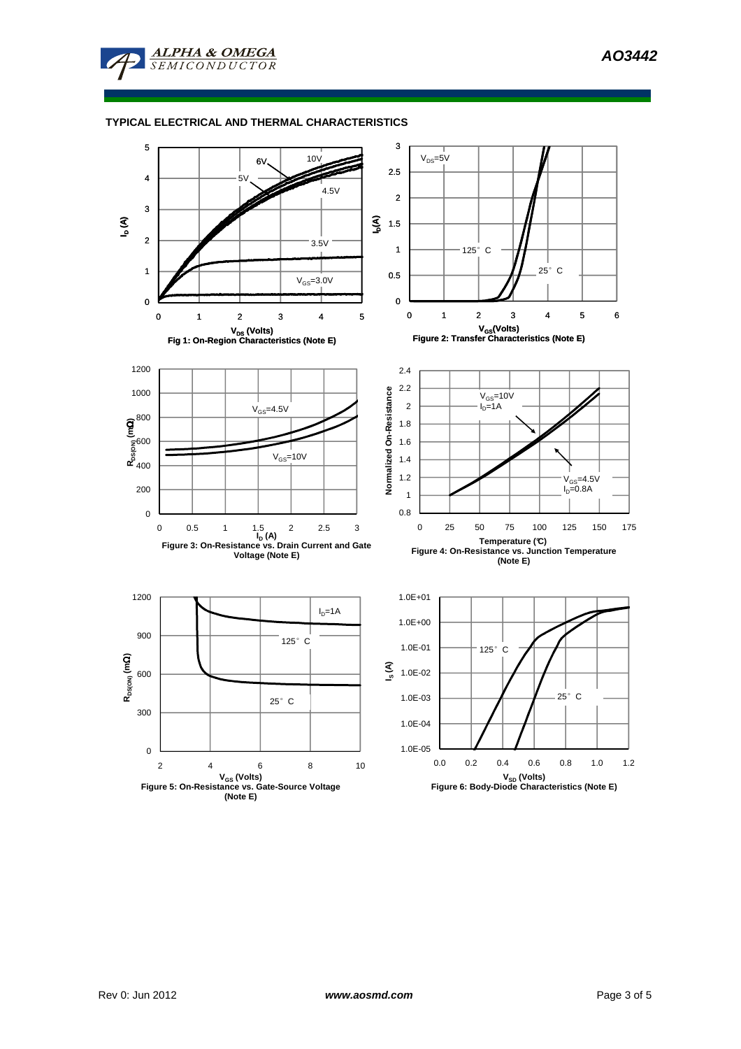

## **TYPICAL ELECTRICAL AND THERMAL CHARACTERISTICS**

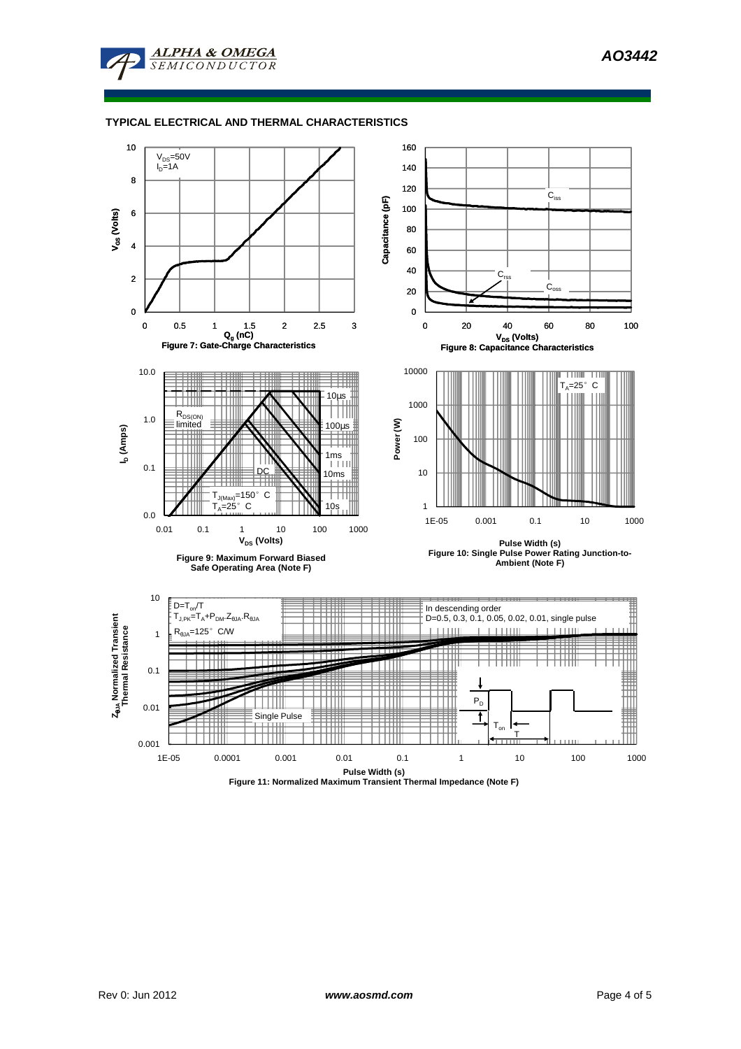

## **TYPICAL ELECTRICAL AND THERMAL CHARACTERISTICS**